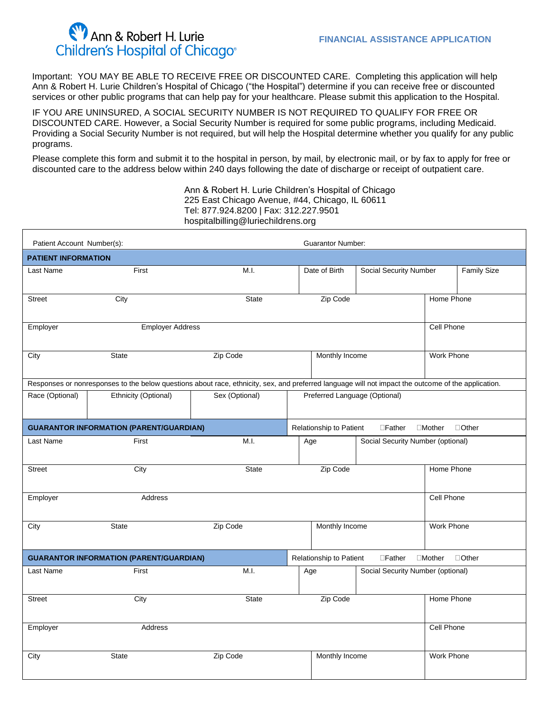## Ann & Robert H. Lurie Children's Hospital of Chicago®

Important: YOU MAY BE ABLE TO RECEIVE FREE OR DISCOUNTED CARE. Completing this application will help Ann & Robert H. Lurie Children's Hospital of Chicago ("the Hospital") determine if you can receive free or discounted services or other public programs that can help pay for your healthcare. Please submit this application to the Hospital.

IF YOU ARE UNINSURED, A SOCIAL SECURITY NUMBER IS NOT REQUIRED TO QUALIFY FOR FREE OR DISCOUNTED CARE. However, a Social Security Number is required for some public programs, including Medicaid. Providing a Social Security Number is not required, but will help the Hospital determine whether you qualify for any public programs.

Please complete this form and submit it to the hospital in person, by mail, by electronic mail, or by fax to apply for free or discounted care to the address below within 240 days following the date of discharge or receipt of outpatient care.

> Ann & Robert H. Lurie Children's Hospital of Chicago 225 East Chicago Avenue, #44, Chicago, IL 60611 Tel: 877.924.8200 | Fax: 312.227.9501 hospitalbilling@luriechildrens.org

| Patient Account Number(s):                                                                                                                          |                      |                | <b>Guarantor Number:</b>                                               |                                                     |                            |            |  |  |  |
|-----------------------------------------------------------------------------------------------------------------------------------------------------|----------------------|----------------|------------------------------------------------------------------------|-----------------------------------------------------|----------------------------|------------|--|--|--|
| <b>PATIENT INFORMATION</b>                                                                                                                          |                      |                |                                                                        |                                                     |                            |            |  |  |  |
| Last Name                                                                                                                                           | First                | M.I.           | Date of Birth                                                          | <b>Social Security Number</b><br><b>Family Size</b> |                            |            |  |  |  |
| <b>Street</b>                                                                                                                                       | City                 | <b>State</b>   | Zip Code                                                               |                                                     | Home Phone                 |            |  |  |  |
| <b>Employer Address</b><br>Employer                                                                                                                 |                      |                |                                                                        |                                                     |                            | Cell Phone |  |  |  |
| City                                                                                                                                                | <b>State</b>         | Zip Code       | Monthly Income                                                         | <b>Work Phone</b>                                   |                            |            |  |  |  |
| Responses or nonresponses to the below questions about race, ethnicity, sex, and preferred language will not impact the outcome of the application. |                      |                |                                                                        |                                                     |                            |            |  |  |  |
| Race (Optional)                                                                                                                                     | Ethnicity (Optional) | Sex (Optional) | Preferred Language (Optional)                                          |                                                     |                            |            |  |  |  |
| <b>GUARANTOR INFORMATION (PARENT/GUARDIAN)</b>                                                                                                      |                      |                | Relationship to Patient<br>$\Box$ Father<br>$\Box$ Mother $\Box$ Other |                                                     |                            |            |  |  |  |
| Last Name                                                                                                                                           | First                | M.I.           | Age                                                                    | Social Security Number (optional)                   |                            |            |  |  |  |
| <b>Street</b>                                                                                                                                       | City                 | <b>State</b>   | Zip Code<br>Home Phone                                                 |                                                     |                            |            |  |  |  |
| Employer                                                                                                                                            | Address              |                |                                                                        |                                                     | Cell Phone                 |            |  |  |  |
| City                                                                                                                                                | <b>State</b>         | Zip Code       | Monthly Income<br>Work Phone                                           |                                                     |                            |            |  |  |  |
| <b>GUARANTOR INFORMATION (PARENT/GUARDIAN)</b><br>Relationship to Patient<br>$\Box$ Father                                                          |                      |                |                                                                        |                                                     | $\Box$ Mother $\Box$ Other |            |  |  |  |
| Last Name                                                                                                                                           | First                | M.I.           | Age                                                                    | Social Security Number (optional)                   |                            |            |  |  |  |
| <b>Street</b>                                                                                                                                       | City                 | <b>State</b>   | Zip Code                                                               | Home Phone                                          |                            |            |  |  |  |
| Employer                                                                                                                                            | Address              |                |                                                                        |                                                     | Cell Phone                 |            |  |  |  |
| City                                                                                                                                                | State                | Zip Code       | <b>Work Phone</b><br>Monthly Income                                    |                                                     |                            |            |  |  |  |